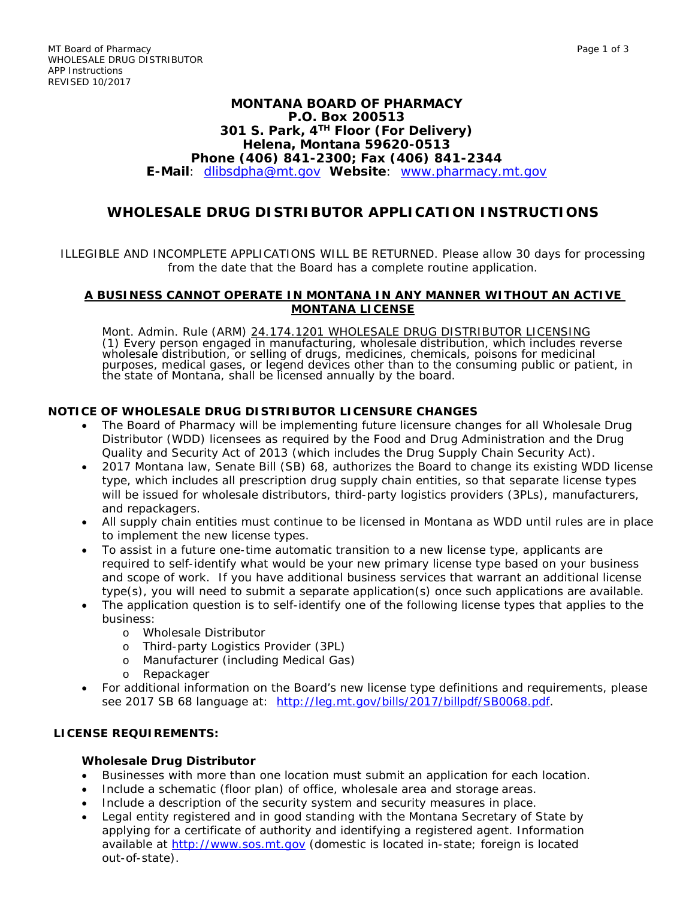### **MONTANA BOARD OF PHARMACY P.O. Box 200513 301 S. Park, 4TH Floor (For Delivery) Helena, Montana 59620-0513 Phone (406) 841-2300; Fax (406) 841-2344 E-Mail**: [dlibsdpha@mt.gov](mailto:dlibsdpha@mt.gov) **Website**: [www.pharmacy.mt.gov](http://www.pharmacy.mt.gov/)

# **WHOLESALE DRUG DISTRIBUTOR APPLICATION INSTRUCTIONS**

### ILLEGIBLE AND INCOMPLETE APPLICATIONS WILL BE RETURNED. Please allow 30 days for processing from the date that the Board has a complete routine application.

#### **A BUSINESS CANNOT OPERATE IN MONTANA IN ANY MANNER WITHOUT AN ACTIVE MONTANA LICENSE**

Mont. Admin. Rule (ARM) <u>24.174.1201 WHOLESALE DRUG DISTRIBUTOR LICENSING</u><br>(1) Every person engaged in manufacturing, wholesale distribution, which includes reverse wholesale distribution, or selling of drugs, medicines, chemicals, poisons for medicinal purposes, medical gases, or legend devices other than to the consuming public or patient, in the state of Montana, shall be licensed annually by the board.

# **NOTICE OF WHOLESALE DRUG DISTRIBUTOR LICENSURE CHANGES**

- The Board of Pharmacy will be implementing future licensure changes for all Wholesale Drug Distributor (WDD) licensees as required by the Food and Drug Administration and the Drug Quality and Security Act of 2013 (which includes the Drug Supply Chain Security Act).
- 2017 Montana law, Senate Bill (SB) 68, authorizes the Board to change its existing WDD license type, which includes all prescription drug supply chain entities, so that separate license types will be issued for wholesale distributors, third-party logistics providers (3PLs), manufacturers, and repackagers.
- All supply chain entities must continue to be licensed in Montana as WDD until rules are in place to implement the new license types.
- To assist in a future one-time automatic transition to a new license type, applicants are required to self-identify what would be your new primary license type based on your business and scope of work. If you have additional business services that warrant an additional license type(s), you will need to submit a separate application(s) once such applications are available.
- The application question is to self-identify one of the following license types that applies to the business:
	- o Wholesale Distributor
	- o Third-party Logistics Provider (3PL)
	- o Manufacturer (including Medical Gas)
	- o Repackager
- For additional information on the Board's new license type definitions and requirements, please see 2017 SB 68 language at: [http://leg.mt.gov/bills/2017/billpdf/SB0068.pdf.](http://leg.mt.gov/bills/2017/billpdf/SB0068.pdf)

#### **LICENSE REQUIREMENTS:**

#### **Wholesale Drug Distributor**

- Businesses with more than one location must submit an application for each location.
- Include a schematic (floor plan) of office, wholesale area and storage areas.
- Include a description of the security system and security measures in place.
- Legal entity registered and in good standing with the Montana Secretary of State by applying for a certificate of authority and identifying a registered agent. Information available at [http://www.sos.mt.gov](http://www.sos.mt.gov/) (domestic is located in-state; foreign is located out-of-state).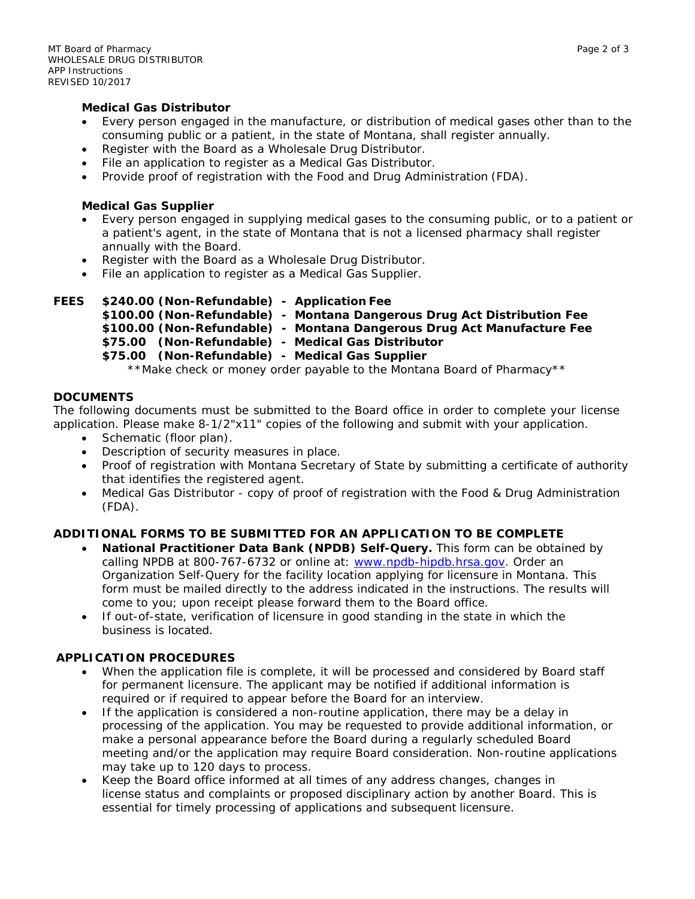#### **Medical Gas Distributor**

- Every person engaged in the manufacture, or distribution of medical gases other than to the consuming public or a patient, in the state of Montana, shall register annually.
- Register with the Board as a Wholesale Drug Distributor.
- File an application to register as a Medical Gas Distributor.
- Provide proof of registration with the Food and Drug Administration (FDA).

#### **Medical Gas Supplier**

- Every person engaged in supplying medical gases to the consuming public, or to a patient or a patient's agent, in the state of Montana that is not a licensed pharmacy shall register annually with the Board.
- Register with the Board as a Wholesale Drug Distributor.
- File an application to register as a Medical Gas Supplier.

```
FEES $240.00 (Non-Refundable) - Application Fee
```
- **\$100.00 (Non-Refundable) - Montana Dangerous Drug Act Distribution Fee \$100.00 (Non-Refundable) - Montana Dangerous Drug Act Manufacture Fee**
	- **\$75.00 (Non-Refundable) - Medical Gas Distributor**

# **\$75.00 (Non-Refundable) - Medical Gas Supplier**

\*\*Make check or money order payable to the Montana Board of Pharmacy\*\*

## **DOCUMENTS**

The following documents must be submitted to the Board office in order to complete your license application. Please make 8-1/2"x11" copies of the following and submit with your application.

- Schematic (floor plan).
- Description of security measures in place.
- Proof of registration with Montana Secretary of State by submitting a certificate of authority that identifies the registered agent.
- Medical Gas Distributor copy of proof of registration with the Food & Drug Administration (FDA).

## **ADDITIONAL FORMS TO BE SUBMITTED FOR AN APPLICATION TO BE COMPLETE**

- **National Practitioner Data Bank (NPDB) Self-Query.** This form can be obtained by calling NPDB at 800-767-6732 or online at: www.npdb-hipdb.hrsa.gov. Order an Organization Self-Query for the facility location applying for licensure in Montana. This form must be mailed directly to the address indicated in the instructions. The results will come to you; upon receipt please forward them to the Board office.
- If out-of-state, verification of licensure in good standing in the state in which the business is located.

## **APPLICATION PROCEDURES**

- When the application file is complete, it will be processed and considered by Board staff for permanent licensure. The applicant may be notified if additional information is required or if required to appear before the Board for an interview.
- If the application is considered a non-routine application, there may be a delay in processing of the application. You may be requested to provide additional information, or make a personal appearance before the Board during a regularly scheduled Board meeting and/or the application may require Board consideration. Non-routine applications may take up to 120 days to process.
- Keep the Board office informed at all times of any address changes, changes in license status and complaints or proposed disciplinary action by another Board. This is essential for timely processing of applications and subsequent licensure.